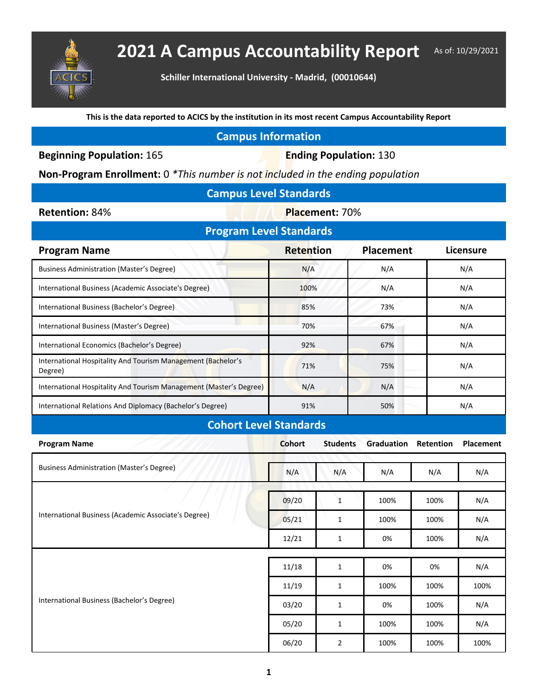

## 2021 A Campus Accountability Report As of: 10/29/2021

**Schiller International University - Madrid, (00010644)**

**This is the data reported to ACICS by the institution in its most recent Campus Accountability Report**

## **Campus Information**

**Beginning Population: 165 <b>Ending Population: 130** 

**Non-Program Enrollment:** 0 *\*This number is not included in the ending population*

| <b>Campus Level Standards</b> |  |  |
|-------------------------------|--|--|
|                               |  |  |

**Retention: 84% <b>Placement: 70%** 

| <b>Program Level Standards</b>                                                  |      |     |     |  |  |  |  |
|---------------------------------------------------------------------------------|------|-----|-----|--|--|--|--|
| <b>Retention</b><br><b>Placement</b><br><b>Licensure</b><br><b>Program Name</b> |      |     |     |  |  |  |  |
| Business Administration (Master's Degree)                                       | N/A  | N/A | N/A |  |  |  |  |
| International Business (Academic Associate's Degree)                            | 100% | N/A | N/A |  |  |  |  |
| International Business (Bachelor's Degree)                                      | 85%  | 73% | N/A |  |  |  |  |
| International Business (Master's Degree)                                        | 70%  | 67% | N/A |  |  |  |  |
| International Economics (Bachelor's Degree)                                     | 92%  | 67% | N/A |  |  |  |  |
| International Hospitality And Tourism Management (Bachelor's<br>Degree)         | 71%  | 75% | N/A |  |  |  |  |
| International Hospitality And Tourism Management (Master's Degree)              | N/A  | N/A | N/A |  |  |  |  |
| International Relations And Diplomacy (Bachelor's Degree)                       | 91%  | 50% | N/A |  |  |  |  |
| <b>Cohort Level Standards</b>                                                   |      |     |     |  |  |  |  |

| <b>Program Name</b>                                  | <b>Cohort</b> | <b>Students</b> | <b>Graduation</b> | <b>Retention</b> | <b>Placement</b> |
|------------------------------------------------------|---------------|-----------------|-------------------|------------------|------------------|
| <b>Business Administration (Master's Degree)</b>     | N/A           | N/A             | N/A               | N/A              | N/A              |
| International Business (Academic Associate's Degree) | 09/20         | $\mathbf{1}$    | 100%              | 100%             | N/A              |
|                                                      | 05/21         | 1               | 100%              | 100%             | N/A              |
|                                                      | 12/21         | $\mathbf{1}$    | 0%                | 100%             | N/A              |
|                                                      |               |                 |                   |                  |                  |
| International Business (Bachelor's Degree)           | 11/18         | $\mathbf{1}$    | 0%                | 0%               | N/A              |
|                                                      | 11/19         | 1               | 100%              | 100%             | 100%             |
|                                                      | 03/20         | 1               | 0%                | 100%             | N/A              |
|                                                      | 05/20         | 1               | 100%              | 100%             | N/A              |
|                                                      | 06/20         | $\overline{2}$  | 100%              | 100%             | 100%             |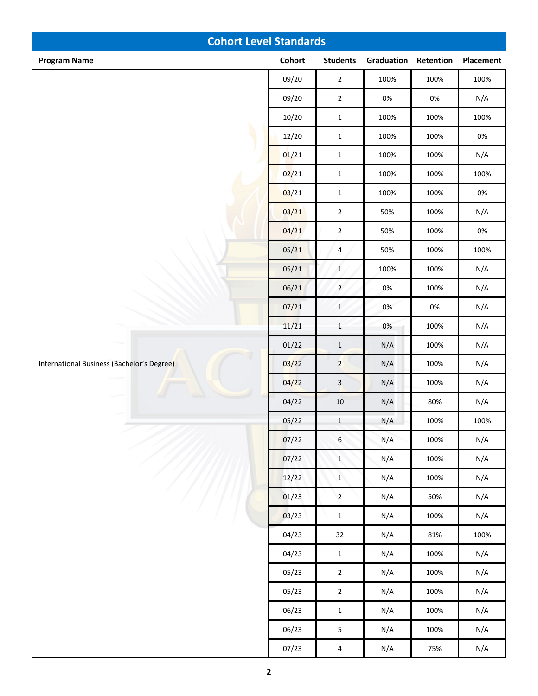| <b>Cohort Level Standards</b>              |        |                         |            |           |           |  |
|--------------------------------------------|--------|-------------------------|------------|-----------|-----------|--|
| <b>Program Name</b>                        | Cohort | <b>Students</b>         | Graduation | Retention | Placement |  |
|                                            | 09/20  | $\overline{2}$          | 100%       | 100%      | 100%      |  |
|                                            | 09/20  | $\mathbf 2$             | $0\%$      | $0\%$     | N/A       |  |
|                                            | 10/20  | $\mathbf 1$             | 100%       | 100%      | 100%      |  |
|                                            | 12/20  | $\mathbf 1$             | 100%       | 100%      | $0\%$     |  |
|                                            | 01/21  | $\mathbf 1$             | 100%       | 100%      | N/A       |  |
|                                            | 02/21  | $\mathbf 1$             | 100%       | 100%      | 100%      |  |
|                                            | 03/21  | $\mathbf{1}$            | 100%       | 100%      | $0\%$     |  |
|                                            | 03/21  | $\sqrt{2}$              | 50%        | 100%      | N/A       |  |
|                                            | 04/21  | $\mathbf 2$             | 50%        | 100%      | $0\%$     |  |
|                                            | 05/21  | $\overline{4}$          | 50%        | 100%      | 100%      |  |
|                                            | 05/21  | $\mathbf 1$             | 100%       | 100%      | N/A       |  |
| International Business (Bachelor's Degree) | 06/21  | $\overline{2}$          | 0%         | 100%      | N/A       |  |
|                                            | 07/21  | $\,1\,$                 | 0%         | $0\%$     | N/A       |  |
|                                            | 11/21  | $\,1\,$                 | 0%         | 100%      | N/A       |  |
|                                            | 01/22  | $\mathbf 1$             | N/A        | 100%      | N/A       |  |
|                                            | 03/22  | $\overline{2}$          | N/A        | 100%      | N/A       |  |
|                                            | 04/22  | $\overline{\mathbf{3}}$ | N/A        | 100%      | N/A       |  |
|                                            | 04/22  | $10\,$                  | N/A        | 80%       | N/A       |  |
|                                            | 05/22  | $\mathbf{1}$            | N/A        | 100%      | 100%      |  |
|                                            | 07/22  | $\boldsymbol{6}$        | N/A        | 100%      | N/A       |  |
|                                            | 07/22  | $\mathbf{1}$            | N/A        | 100%      | N/A       |  |
|                                            | 12/22  | $\mathbf{1}$            | N/A        | 100%      | N/A       |  |
|                                            | 01/23  | $\overline{2}$          | N/A        | 50%       | N/A       |  |
|                                            | 03/23  | $\mathbf{1}$            | N/A        | 100%      | N/A       |  |
|                                            | 04/23  | 32                      | N/A        | 81%       | 100%      |  |
|                                            | 04/23  | $\mathbf{1}$            | N/A        | 100%      | N/A       |  |
|                                            | 05/23  | $\mathbf{2}$            | N/A        | 100%      | N/A       |  |
|                                            | 05/23  | $\mathbf 2$             | N/A        | 100%      | N/A       |  |
|                                            | 06/23  | $\mathbf{1}$            | N/A        | 100%      | N/A       |  |
|                                            | 06/23  | $\mathsf S$             | N/A        | 100%      | N/A       |  |
|                                            | 07/23  | $\overline{4}$          | N/A        | 75%       | N/A       |  |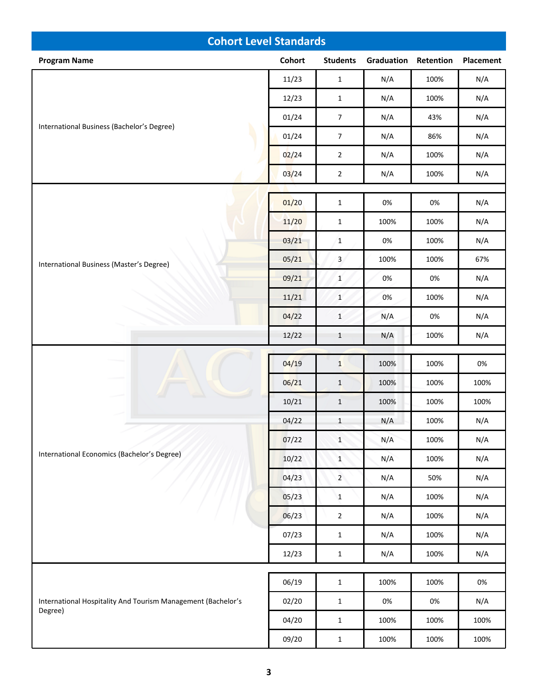| <b>Cohort Level Standards</b>                                           |        |                 |            |           |           |  |
|-------------------------------------------------------------------------|--------|-----------------|------------|-----------|-----------|--|
| <b>Program Name</b>                                                     | Cohort | <b>Students</b> | Graduation | Retention | Placement |  |
|                                                                         | 11/23  | $\mathbf{1}$    | N/A        | 100%      | N/A       |  |
|                                                                         | 12/23  | $\mathbf{1}$    | N/A        | 100%      | N/A       |  |
|                                                                         | 01/24  | $\overline{7}$  | N/A        | 43%       | N/A       |  |
| International Business (Bachelor's Degree)                              | 01/24  | $\overline{7}$  | N/A        | 86%       | N/A       |  |
|                                                                         | 02/24  | $\overline{2}$  | N/A        | 100%      | N/A       |  |
|                                                                         | 03/24  | $\mathbf 2$     | N/A        | 100%      | N/A       |  |
|                                                                         |        |                 |            |           |           |  |
|                                                                         | 01/20  | $\mathbf{1}$    | 0%         | 0%        | N/A       |  |
|                                                                         | 11/20  | $\mathbf 1$     | 100%       | 100%      | N/A       |  |
|                                                                         | 03/21  | $\mathbf 1$     | 0%         | 100%      | N/A       |  |
| International Business (Master's Degree)                                | 05/21  | $\mathbf{3}$    | 100%       | 100%      | 67%       |  |
|                                                                         | 09/21  | $\mathbf{1}$    | 0%         | 0%        | N/A       |  |
|                                                                         | 11/21  | $\mathbf{1}$    | 0%         | 100%      | N/A       |  |
|                                                                         | 04/22  | $\mathbf{1}$    | N/A        | 0%        | N/A       |  |
|                                                                         | 12/22  | $\mathbf{1}$    | N/A        | 100%      | N/A       |  |
|                                                                         | 04/19  | $\mathbf{1}$    | 100%       | 100%      | $0\%$     |  |
|                                                                         | 06/21  | $\mathbf{1}$    | 100%       | 100%      | 100%      |  |
|                                                                         | 10/21  | $\mathbf{1}$    | 100%       | 100%      | 100%      |  |
|                                                                         | 04/22  | $\mathbf{1}$    | N/A        | 100%      | N/A       |  |
|                                                                         | 07/22  | $\mathbf{1}$    | N/A        | 100%      | N/A       |  |
| International Economics (Bachelor's Degree)                             | 10/22  | $\mathbf{1}$    | N/A        | 100%      | N/A       |  |
|                                                                         | 04/23  | $2^{\circ}$     | N/A        | 50%       | N/A       |  |
|                                                                         | 05/23  | $\mathbf{1}$    | N/A        | 100%      | N/A       |  |
|                                                                         | 06/23  | $\mathbf 2$     | N/A        | 100%      | N/A       |  |
|                                                                         | 07/23  | $\mathbf 1$     | N/A        | 100%      | N/A       |  |
|                                                                         | 12/23  | $\mathbf 1$     | N/A        | 100%      | N/A       |  |
|                                                                         |        |                 |            |           |           |  |
|                                                                         | 06/19  | $\mathbf{1}$    | 100%       | 100%      | $0\%$     |  |
| International Hospitality And Tourism Management (Bachelor's<br>Degree) | 02/20  | $\mathbf{1}$    | $0\%$      | $0\%$     | N/A       |  |
|                                                                         | 04/20  | $\mathbf{1}$    | 100%       | 100%      | 100%      |  |
|                                                                         | 09/20  | $\mathbf 1$     | 100%       | 100%      | 100%      |  |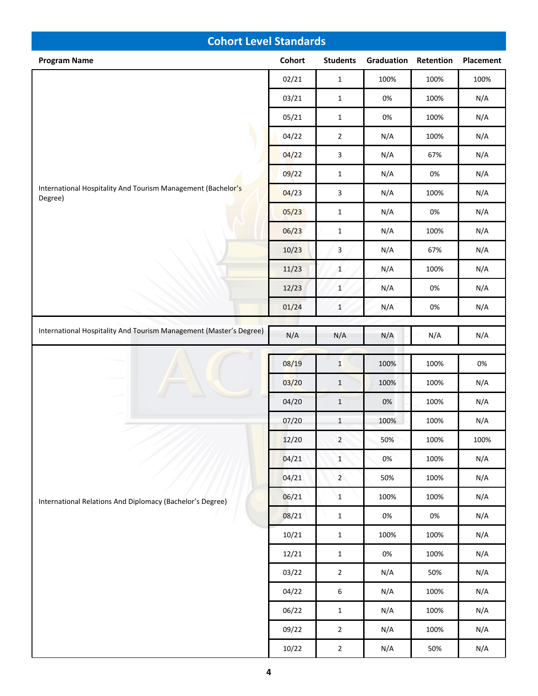| <b>Cohort Level Standards</b>                                           |               |                  |            |           |                  |  |
|-------------------------------------------------------------------------|---------------|------------------|------------|-----------|------------------|--|
| <b>Program Name</b>                                                     | <b>Cohort</b> | <b>Students</b>  | Graduation | Retention | <b>Placement</b> |  |
|                                                                         | 02/21         | $\mathbf{1}$     | 100%       | 100%      | 100%             |  |
|                                                                         | 03/21         | $\mathbf{1}$     | 0%         | 100%      | N/A              |  |
|                                                                         | 05/21         | $\mathbf 1$      | 0%         | 100%      | N/A              |  |
|                                                                         | 04/22         | $\mathbf 2$      | N/A        | 100%      | N/A              |  |
|                                                                         | 04/22         | 3                | N/A        | 67%       | N/A              |  |
|                                                                         | 09/22         | $\mathbf{1}$     | N/A        | 0%        | N/A              |  |
| International Hospitality And Tourism Management (Bachelor's<br>Degree) | 04/23         | 3                | N/A        | 100%      | N/A              |  |
|                                                                         | 05/23         | $\mathbf 1$      | N/A        | 0%        | N/A              |  |
|                                                                         | 06/23         | $\mathbf 1$      | N/A        | 100%      | N/A              |  |
|                                                                         | 10/23         | 3                | N/A        | 67%       | N/A              |  |
|                                                                         | 11/23         | $\mathbf 1$      | N/A        | 100%      | N/A              |  |
|                                                                         | 12/23         | $\mathbf{1}$     | N/A        | 0%        | N/A              |  |
|                                                                         | 01/24         | $\mathbf 1$      | N/A        | 0%        | N/A              |  |
| International Hospitality And Tourism Management (Master's Degree)      | N/A           | N/A              | N/A        | N/A       | N/A              |  |
|                                                                         | 08/19         | $\mathbf{1}$     | 100%       | 100%      | $0\%$            |  |
|                                                                         | 03/20         | $\mathbf{1}$     | 100%       | 100%      | N/A              |  |
|                                                                         | 04/20         | $\mathbf 1$      | $0\%$      | 100%      | N/A              |  |
|                                                                         | 07/20         | $\,1\,$          | 100%       | 100%      | N/A              |  |
|                                                                         | 12/20         | $\overline{2}$   | 50%        | 100%      | 100%             |  |
|                                                                         | 04/21         | $\mathbf{1}$     | 0%         | 100%      | N/A              |  |
|                                                                         | 04/21         | $2^{\circ}$      | 50%        | 100%      | N/A              |  |
| International Relations And Diplomacy (Bachelor's Degree)               | 06/21         | $\mathbf{1}$     | 100%       | 100%      | N/A              |  |
|                                                                         | 08/21         | $\mathbf{1}$     | 0%         | $0\%$     | N/A              |  |
|                                                                         | 10/21         | $\mathbf{1}$     | 100%       | 100%      | N/A              |  |
|                                                                         | 12/21         | $\mathbf{1}$     | 0%         | 100%      | N/A              |  |
|                                                                         | 03/22         | $\overline{2}$   | N/A        | 50%       | N/A              |  |
|                                                                         | 04/22         | $\boldsymbol{6}$ | N/A        | 100%      | N/A              |  |
|                                                                         | 06/22         | $\mathbf{1}$     | N/A        | 100%      | N/A              |  |
|                                                                         | 09/22         | $\overline{2}$   | N/A        | 100%      | N/A              |  |
|                                                                         | 10/22         | $\overline{2}$   | N/A        | 50%       | N/A              |  |